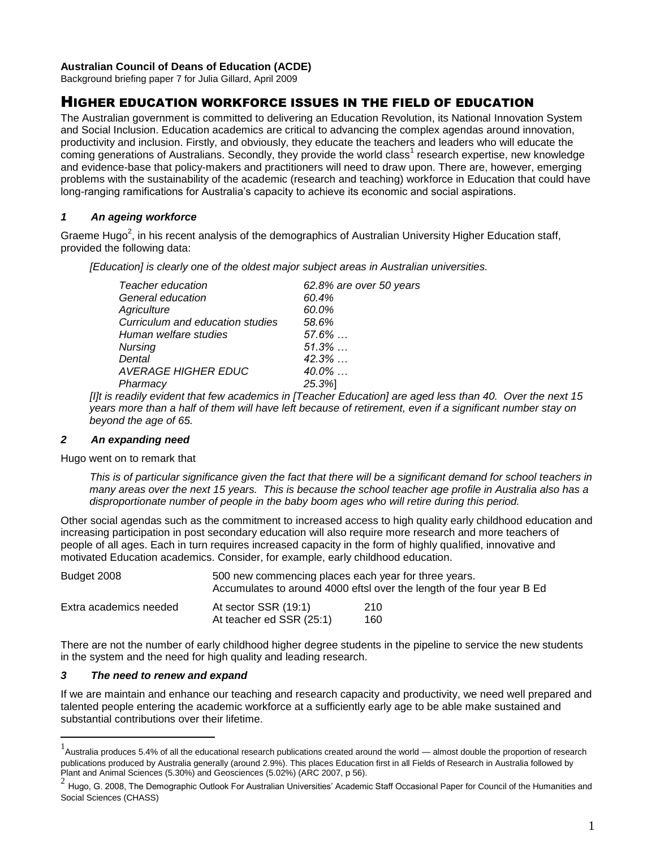### **Australian Council of Deans of Education (ACDE)**

Background briefing paper 7 for Julia Gillard, April 2009

# HIGHER EDUCATION WORKFORCE ISSUES IN THE FIELD OF EDUCATION

The Australian government is committed to delivering an Education Revolution, its National Innovation System and Social Inclusion. Education academics are critical to advancing the complex agendas around innovation, productivity and inclusion. Firstly, and obviously, they educate the teachers and leaders who will educate the coming generations of Australians. Secondly, they provide the world class<sup>1</sup> research expertise, new knowledge and evidence-base that policy-makers and practitioners will need to draw upon. There are, however, emerging problems with the sustainability of the academic (research and teaching) workforce in Education that could have long-ranging ramifications for Australia's capacity to achieve its economic and social aspirations.

### *1 An ageing workforce*

Graeme Hugo<sup>2</sup>, in his recent analysis of the demographics of Australian University Higher Education staff, provided the following data:

*[Education] is clearly one of the oldest major subject areas in Australian universities.*

| Teacher education                | 62.8% are over 50 years |
|----------------------------------|-------------------------|
| General education                | 60.4%                   |
| Agriculture                      | 60.0%                   |
| Curriculum and education studies | 58.6%                   |
| Human welfare studies            | $57.6\%$                |
| <b>Nursing</b>                   | $51.3\%$                |
| Dental                           | $42.3\%$                |
| <b>AVERAGE HIGHER EDUC</b>       | $40.0\%$                |
| Pharmacy                         | 25.3%                   |
|                                  |                         |

*[I]t is readily evident that few academics in [Teacher Education] are aged less than 40. Over the next 15 years more than a half of them will have left because of retirement, even if a significant number stay on beyond the age of 65.*

### *2 An expanding need*

Hugo went on to remark that

*This is of particular significance given the fact that there will be a significant demand for school teachers in many areas over the next 15 years. This is because the school teacher age profile in Australia also has a disproportionate number of people in the baby boom ages who will retire during this period.*

Other social agendas such as the commitment to increased access to high quality early childhood education and increasing participation in post secondary education will also require more research and more teachers of people of all ages. Each in turn requires increased capacity in the form of highly qualified, innovative and motivated Education academics. Consider, for example, early childhood education.

| Budget 2008            | 500 new commencing places each year for three years.<br>Accumulates to around 4000 eftsl over the length of the four year B Ed |            |  |
|------------------------|--------------------------------------------------------------------------------------------------------------------------------|------------|--|
| Extra academics needed | At sector SSR (19:1)<br>At teacher ed SSR (25:1)                                                                               | 210<br>160 |  |

There are not the number of early childhood higher degree students in the pipeline to service the new students in the system and the need for high quality and leading research.

### *3 The need to renew and expand*

 $\overline{a}$ 

If we are maintain and enhance our teaching and research capacity and productivity, we need well prepared and talented people entering the academic workforce at a sufficiently early age to be able make sustained and substantial contributions over their lifetime.

 $1$  Australia produces 5.4% of all the educational research publications created around the world — almost double the proportion of research publications produced by Australia generally (around 2.9%). This places Education first in all Fields of Research in Australia followed by Plant and Animal Sciences (5.30%) and Geosciences (5.02%) (ARC 2007, p 56).

<sup>2</sup> Hugo, G. 2008, The Demographic Outlook For Australian Universities' Academic Staff Occasional Paper for Council of the Humanities and Social Sciences (CHASS)